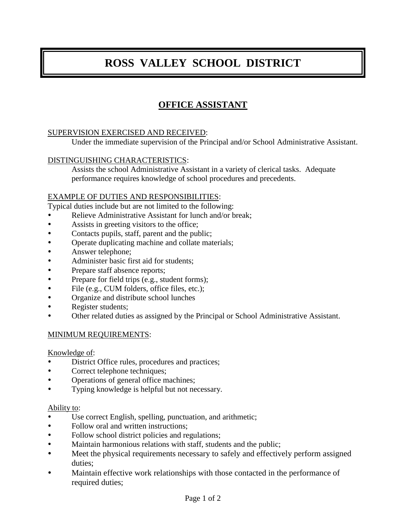# **ROSS VALLEY SCHOOL DISTRICT**

# **OFFICE ASSISTANT**

#### SUPERVISION EXERCISED AND RECEIVED:

Under the immediate supervision of the Principal and/or School Administrative Assistant.

#### DISTINGUISHING CHARACTERISTICS:

Assists the school Administrative Assistant in a variety of clerical tasks. Adequate performance requires knowledge of school procedures and precedents.

#### EXAMPLE OF DUTIES AND RESPONSIBILITIES:

Typical duties include but are not limited to the following:

- Relieve Administrative Assistant for lunch and/or break;
- Assists in greeting visitors to the office;
- Contacts pupils, staff, parent and the public;
- Operate duplicating machine and collate materials;
- Answer telephone;
- Administer basic first aid for students;
- Prepare staff absence reports;
- Prepare for field trips (e.g., student forms);
- File (e.g., CUM folders, office files, etc.);
- Organize and distribute school lunches
- Register students;
- Other related duties as assigned by the Principal or School Administrative Assistant.

#### MINIMUM REQUIREMENTS:

Knowledge of:

- District Office rules, procedures and practices;
- Correct telephone techniques;
- Operations of general office machines;
- Typing knowledge is helpful but not necessary.

#### Ability to:

- Use correct English, spelling, punctuation, and arithmetic;
- Follow oral and written instructions;
- Follow school district policies and regulations;
- Maintain harmonious relations with staff, students and the public;
- Meet the physical requirements necessary to safely and effectively perform assigned duties;
- Maintain effective work relationships with those contacted in the performance of required duties;